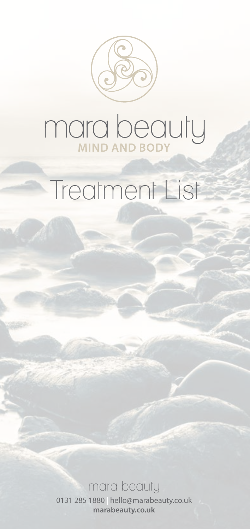

# mara beauty

## Treatment List

#### mara beauty

0131 285 1880 | [hello@marabeauty.co.uk](mailto:hello@marabeauty.co.uk) **[marabeauty.co.uk](http://www.marabeauty.co.uk)**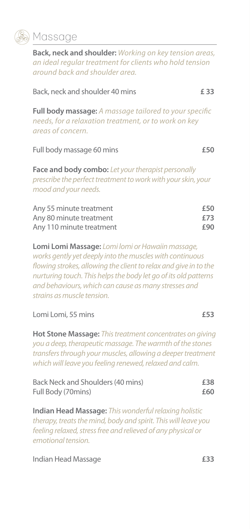

#### **Massage**

**Back, neck and shoulder:** *Working on key tension areas, an ideal regular treatment for clients who hold tension around back and shoulder area.*

| Back, neck and shoulder 40 mins                                                                                                                   | £ 33              |
|---------------------------------------------------------------------------------------------------------------------------------------------------|-------------------|
| <b>Full body massage:</b> A massage tailored to your specific<br>needs, for a relaxation treatment, or to work on key<br>areas of concern.        |                   |
| Full body massage 60 mins                                                                                                                         | £50               |
| <b>Face and body combo:</b> Let your therapist personally<br>prescribe the perfect treatment to work with your skin, your<br>mood and your needs. |                   |
| Any 55 minute treatment<br>Any 80 minute treatment<br>Any 110 minute treatment                                                                    | £50<br>£73<br>£90 |
| Lomi Lomi Massage: Lomi lomi or Hawaiin massage,<br>works gently yet deeply into the muscles with continuous                                      |                   |

*flowing strokes, allowing the client to relax and give in to the nurturing touch. This helps the body let go of its old patterns and behaviours, which can cause as many stresses and strains as muscle tension.*

#### Lomi Lomi, 55 mins **£53**

**Hot Stone Massage:** *This treatment concentrates on giving you a deep, therapeutic massage. The warmth of the stones transfers through your muscles, allowing a deeper treatment which will leave you feeling renewed, relaxed and calm.*

| Back Neck and Shoulders (40 mins) | £38 |
|-----------------------------------|-----|
| Full Body (70mins)                | £60 |

**Indian Head Massage:** *This wonderful relaxing holistic therapy, treats the mind, body and spirit. This will leave you feeling relaxed, stress free and relieved of any physical or emotional tension.*

Indian Head Massage **£33**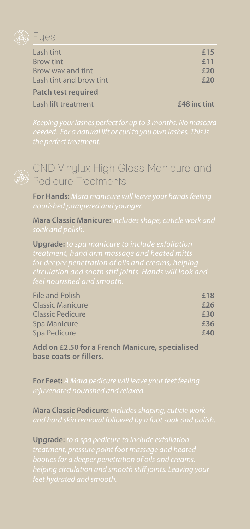

#### Lash tint **£15** Brow tint **Example 2011** Brow wax and tint **£20** Lash tint and brow tint **£20 Patch test required**

Lash lift treatment **£48 inc tint**

## CND Vinylux High Gloss Manicure and **B** Pedicure Treatments

**For Hands:** *Mara manicure will leave your hands feeling* 

**Mara Classic Manicure:** *includes shape, cuticle work and* 

**Upgrade:** *to spa manicure to include exfoliation* 

| File and Polish  | £18 |
|------------------|-----|
| Classic Manicure | £26 |
| Classic Pedicure | £30 |
| Spa Manicure     | £36 |
| Spa Pedicure     | £40 |

**Add on £2.50 for a French Manicure, specialised base coats or fillers.**

**For Feet:** *A Mara pedicure will leave your feet feeling* 

**Mara Classic Pedicure:** *includes shaping, cuticle work* 

**Upgrade:** *to a spa pedicure to include exfoliation*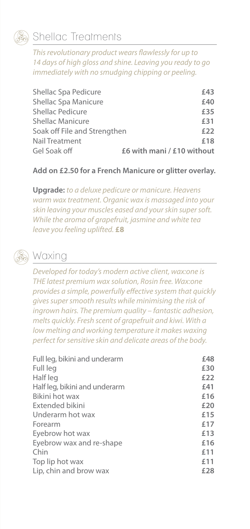

#### Shellac Treatments

*This revolutionary product wears flawlessly for up to 14 days of high gloss and shine. Leaving you ready to go immediately with no smudging chipping or peeling.* 

| Shellac Spa Pedicure         | £43                        |
|------------------------------|----------------------------|
| Shellac Spa Manicure         | £40                        |
| <b>Shellac Pedicure</b>      | £35                        |
| <b>Shellac Manicure</b>      | £31                        |
| Soak off File and Strengthen | £22                        |
| Nail Treatment               | £18                        |
| Gel Soak off                 | £6 with mani / £10 without |

#### **Add on £2.50 for a French Manicure or glitter overlay.**

**Upgrade:** *to a deluxe pedicure or manicure. Heavens warm wax treatment. Organic wax is massaged into your skin leaving your muscles eased and your skin super soft. While the aroma of grapefruit, jasmine and white tea leave you feeling uplifted.* **£8**

## Waxing

*Developed for today's modern active client, wax:one is THE latest premium wax solution, Rosin free. Wax:one provides a simple, powerfully effective system that quickly gives super smooth results while minimising the risk of ingrown hairs. The premium quality – fantastic adhesion, melts quickly. Fresh scent of grapefruit and kiwi. With a low melting and working temperature it makes waxing perfect for sensitive skin and delicate areas of the body.* 

| £48 |
|-----|
| £30 |
| £22 |
| £41 |
| £16 |
| £20 |
| £15 |
| £17 |
| £13 |
| £16 |
| £11 |
| £11 |
| £28 |
|     |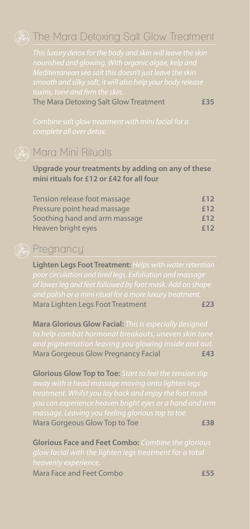#### **(So) The Mara Detoxing Salt Glow Treatment**

The Mara Detoxing Salt Glow Treatment **£35**



#### **B** Mara Mini Rituals

#### **Upgrade your treatments by adding on any of these mini rituals for £12 or £42 for all four**

| Tension release foot massage  | £12 |
|-------------------------------|-----|
| Pressure point head massage   | £12 |
| Soothing hand and arm massage | £12 |
| Heaven bright eyes            | £12 |

### **B** Pregnancy

**Lighten Legs Foot Treatment:** *Helps with water retention*  Mara Lighten Legs Foot Treatment **£23**

**Mara Glorious Glow Facial:** *This is especially designed*  Mara Gorgeous Glow Pregnancy Facial **£43**

**Glorious Glow Top to Toe:** *Start to feel the tension slip*  Mara Gorgeous Glow Top to Toe *£38* 

**Glorious Face and Feet Combo:** *Combine the glorious*  Mara Face and Feet Combo **£55**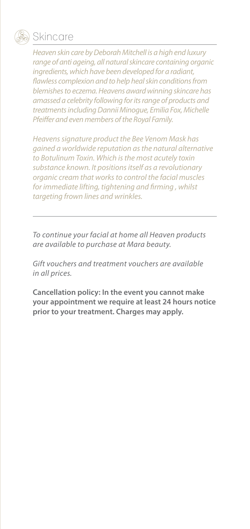

#### **Skincare**

*Heaven skin care by Deborah Mitchell is a high end luxury range of anti ageing, all natural skincare containing organic ingredients, which have been developed for a radiant, flawless complexion and to help heal skin conditions from blemishes to eczema. Heavens award winning skincare has amassed a celebrity following for its range of products and treatments including Dannii Minogue, Emilia Fox, Michelle Pfeiffer and even members of the Royal Family.*

*Heavens signature product the Bee Venom Mask has gained a worldwide reputation as the natural alternative to Botulinum Toxin. Which is the most acutely toxin substance known. It positions itself as a revolutionary organic cream that works to control the facial muscles for immediate lifting, tightening and firming , whilst targeting frown lines and wrinkles.* 

*To continue your facial at home all Heaven products are available to purchase at Mara beauty.*

*Gift vouchers and treatment vouchers are available in all prices.*

**Cancellation policy: In the event you cannot make your appointment we require at least 24 hours notice prior to your treatment. Charges may apply.**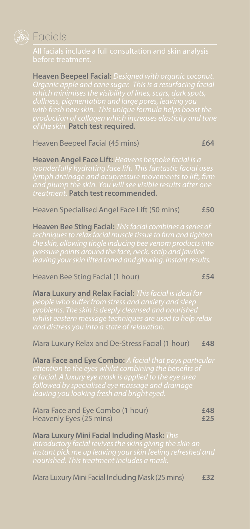

### **B** Facials

**Heaven Beepeel Facial:** *Designed with organic coconut. Organic apple and cane sugar. This is a resurfacing facial of the skin.* **Patch test required.**

Heaven Beepeel Facial (45 mins) **£64**

**Heaven Angel Face Lift:** *Heavens bespoke facial is a treatment.* **Patch test recommended.**

Heaven Specialised Angel Face Lift (50 mins) **£50**

**Heaven Bee Sting Facial:** *This facial combines a series of* 

#### Heaven Bee Sting Facial (1 hour) **£54**

**Mara Luxury and Relax Facial:** *This facial is ideal for* 

#### Mara Luxury Relax and De-Stress Facial (1 hour) **£48**

**Mara Face and Eye Combo:** *A facial that pays particular* 

| Mara Face and Eye Combo (1 hour) | £48 |
|----------------------------------|-----|
| Heavenly Eyes (25 mins)          | £25 |

**Mara Luxury Mini Facial Including Mask:** *This* 

Mara Luxury Mini Facial Including Mask (25 mins) **£32**